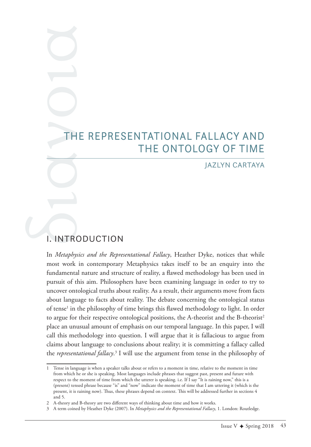# THE REPRESENTATIONAL FALLACY AND<br>THE ONTOLOGY OF TIME<br>JAZLYN CARTAYA THE ONTOLOGY OF TIME

### JAZLYN CARTAYA

# I. INTRODUCTION

In *Metaphysics and the Representational Fallacy*, Heather Dyke, notices that while most work in contemporary Metaphysics takes itself to be an enquiry into the fundamental nature and structure of reality, a fawed methodology has been used in pursuit of this aim. Philosophers have been examining language in order to try to uncover ontological truths about reality. As a result, their arguments move from facts about language to facts about reality. The debate concerning the ontological status of tense<sup>1</sup> in the philosophy of time brings this flawed methodology to light. In order to argue for their respective ontological positions, the A-theorist and the B-theorist<sup>2</sup> place an unusual amount of emphasis on our temporal language. In this paper, I will call this methodology into question. I will argue that it is fallacious to argue from claims about language to conclusions about reality; it is committing a fallacy called the *representational fallacy*. 3 I will use the argument from tense in the philosophy of

<sup>1</sup> Tense in language is when a speaker talks about or refers to a moment in time, relative to the moment in time from which he or she is speaking. Most languages include phrases that suggest past, present and future with respect to the moment of time from which the utterer is speaking. i.e. If I say "It is raining now," this is a (present) tensed phrase because "is" and "now" indicate the moment of time that I am uttering it (which is the present, it is raining now). Tus, these phrases depend on context. Tis will be addressed further in sections 4 and 5.

<sup>2</sup> A-theory and B-theory are two diferent ways of thinking about time and how it works.

<sup>3</sup> A term coined by Heather Dyke (2007). In *Metaphysics and the Representational Fallacy*, 1. London: Routledge.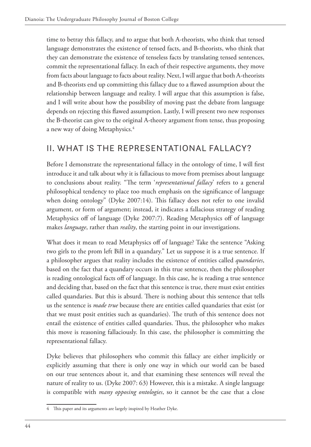time to betray this fallacy, and to argue that both A-theorists, who think that tensed language demonstrates the existence of tensed facts, and B-theorists, who think that they can demonstrate the existence of tenseless facts by translating tensed sentences, commit the representational fallacy. In each of their respective arguments, they move from facts about language to facts about reality. Next, I will argue that both A-theorists and B-theorists end up committing this fallacy due to a fawed assumption about the relationship between language and reality. I will argue that this assumption is false, and I will write about how the possibility of moving past the debate from language depends on rejecting this fawed assumption. Lastly, I will present two new responses the B-theorist can give to the original A-theory argument from tense, thus proposing a new way of doing Metaphysics.<sup>4</sup>

# II. WHAT IS THE REPRESENTATIONAL FALLACY?

Before I demonstrate the representational fallacy in the ontology of time, I will frst introduce it and talk about why it is fallacious to move from premises about language to conclusions about reality. "The term 'representational fallacy' refers to a general philosophical tendency to place too much emphasis on the signifcance of language when doing ontology" (Dyke 2007:14). This fallacy does not refer to one invalid argument, or form of argument; instead, it indicates a fallacious strategy of reading Metaphysics off of language (Dyke 2007:7). Reading Metaphysics off of language makes *language*, rather than *reality*, the starting point in our investigations.

What does it mean to read Metaphysics off of language? Take the sentence "Asking two girls to the prom left Bill in a quandary." Let us suppose it is a true sentence. If a philosopher argues that reality includes the existence of entities called *quandaries*, based on the fact that a quandary occurs in this true sentence, then the philosopher is reading ontological facts off of language. In this case, he is reading a true sentence and deciding that, based on the fact that this sentence is true, there must exist entities called quandaries. But this is absurd. There is nothing about this sentence that tells us the sentence is *made true* because there are entities called quandaries that exist (or that we must posit entities such as quandaries). The truth of this sentence does not entail the existence of entities called quandaries. Thus, the philosopher who makes this move is reasoning fallaciously. In this case, the philosopher is committing the representational fallacy.

Dyke believes that philosophers who commit this fallacy are either implicitly or explicitly assuming that there is only one way in which our world can be based on our true sentences about it, and that examining these sentences will reveal the nature of reality to us. (Dyke 2007: 63) However, this is a mistake. A single language is compatible with *many opposing ontologies*, so it cannot be the case that a close

<sup>4</sup> This paper and its arguments are largely inspired by Heather Dyke.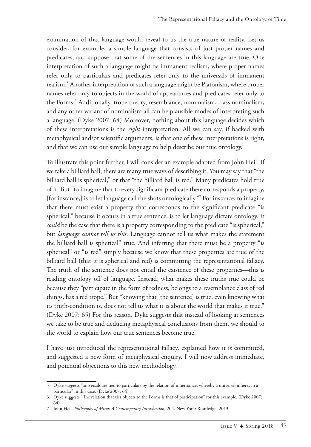examination of that language would reveal to us the true nature of reality. Let us consider, for example, a simple language that consists of just proper names and predicates, and suppose that some of the sentences in this language are true. One interpretation of such a language might be immanent realism, where proper names refer only to particulars and predicates refer only to the universals of immanent realism.5 Another interpretation of such a language might be Platonism, where proper names refer only to objects in the world of appearances and predicates refer only to the Forms.6 Additionally, trope theory, resemblance, nominalism, class nominalism, and any other variant of nominalism all can be plausible modes of interpreting such a language. (Dyke 2007: 64) Moreover, nothing about this language decides which of these interpretations is the *right* interpretation. All we can say, if backed with metaphysical and/or scientifc arguments, is that one of these interpretations is right, and that we can use our simple language to help describe our true ontology.

To illustrate this point further, I will consider an example adapted from John Heil. If we take a billiard ball, there are many true ways of describing it. You may say that "the billiard ball is spherical," or that "the billiard ball is red." Many predicates hold true of it. But "to imagine that to every signifcant predicate there corresponds a property, [for instance,] is to let language call the shots ontologically."7 For instance, to imagine that there must exist a property that corresponds to the signifcant predicate "is spherical," because it occurs in a true sentence, is to let language dictate ontology. It *could* be the case that there is a property corresponding to the predicate "is spherical," but *language cannot tell us this*. Language cannot tell us what makes the statement the billiard ball is spherical" true. And inferring that there must be a property "is spherical" or "is red" simply because we know that these properties are true of the billiard ball (that it is spherical and red) is committing the representational fallacy. The truth of the sentence does not entail the existence of these properties—this is reading ontology off of language. Instead, what makes these truths true could be because they "participate in the form of redness, belongs to a resemblance class of red things, has a red trope." But "knowing that [the sentence] is true, even knowing what its truth-condition is, does not tell us what it is about the world that makes it true." (Dyke 2007: 65) For this reason, Dyke suggests that instead of looking at sentences we take to be true and deducing metaphysical conclusions from them, we should to the world to explain how our true sentences become true.

I have just introduced the representational fallacy, explained how it is committed, and suggested a new form of metaphysical enquiry. I will now address immediate, and potential objections to this new methodology.

<sup>5</sup> Dyke suggests "universals are tied to particulars by the relation of inheritance, whereby a universal inheres in a particular" in this case. (Dyke 2007: 64)

<sup>6</sup> Dyke suggests "Te relation that ties objects to the Forms is that of participation" for this example. (Dyke 2007: 64)

<sup>7</sup> John Heil. *Philosophy of Mind: A Contemporary Introduction*, 204. New York: Routledge. 2013.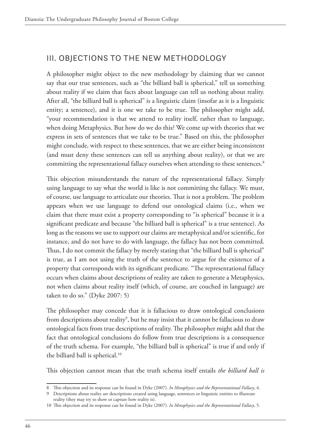# III. OBJECTIONS TO THE NEW METHODOLOGY

A philosopher might object to the new methodology by claiming that we cannot say that our true sentences, such as "the billiard ball is spherical," tell us something about reality if we claim that facts about language can tell us nothing about reality. After all, "the billiard ball is spherical" is a linguistic claim (insofar as it is a linguistic entity; a sentence), and it is one we take to be true. The philosopher might add, "your recommendation is that we attend to reality itself, rather than to language, when doing Metaphysics. But how do we do this? We come up with theories that we express in sets of sentences that we take to be true." Based on this, the philosopher might conclude, with respect to these sentences, that we are either being inconsistent (and must deny these sentences can tell us anything about reality), or that we are committing the representational fallacy ourselves when attending to these sentences.<sup>8</sup>

This objection misunderstands the nature of the representational fallacy. Simply using language to say what the world is like is not committing the fallacy. We must, of course, use language to articulate our theories. That is not a problem. The problem appears when we use language to defend our ontological claims (i.e., when we claim that there must exist a property corresponding to "is spherical" because it is a signifcant predicate and because "the billiard ball is spherical" is a true sentence). As long as the reasons we use to support our claims are metaphysical and/or scientifc, for instance, and do not have to do with language, the fallacy has not been committed. Thus, I do not commit the fallacy by merely stating that "the billiard ball is spherical" is true, as I am not using the truth of the sentence to argue for the existence of a property that corresponds with its significant predicate. "The representational fallacy occurs when claims about descriptions of reality are taken to generate a Metaphysics, not when claims about reality itself (which, of course, are couched in language) are taken to do so." (Dyke 2007: 5)

The philosopher may concede that it is fallacious to draw ontological conclusions from descriptions about reality<sup>9</sup>, but he may insist that it cannot be fallacious to draw ontological facts from true descriptions of reality. The philosopher might add that the fact that ontological conclusions do follow from true descriptions is a consequence of the truth schema. For example, "the billiard ball is spherical" is true if and only if the billiard ball is spherical.<sup>10</sup>

This objection cannot mean that the truth schema itself entails *the billiard ball is* 

<sup>8</sup> Tis objection and its response can be found in Dyke (2007). *In Metaphysics and the Representational Fallacy*, 4.

<sup>9</sup> Descriptions about reality are descriptions created using language, sentences or linguistic entities to illustrate reality (they may try to show or capture how reality is).

<sup>10</sup> Tis objection and its response can be found in Dyke (2007). *In Metaphysics and the Representational Fallacy*, 5.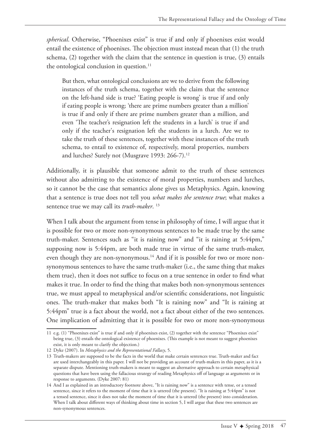*spherical*. Otherwise, "Phoenixes exist" is true if and only if phoenixes exist would entail the existence of phoenixes. The objection must instead mean that (1) the truth schema, (2) together with the claim that the sentence in question is true, (3) entails the ontological conclusion in question. $11$ 

But then, what ontological conclusions are we to derive from the following instances of the truth schema, together with the claim that the sentence on the left-hand side is true? 'Eating people is wrong' is true if and only if eating people is wrong; 'there are prime numbers greater than a million' is true if and only if there are prime numbers greater than a million, and even 'The teacher's resignation left the students in a lurch' is true if and only if the teacher's resignation left the students in a lurch. Are we to take the truth of these sentences, together with these instances of the truth schema, to entail to existence of, respectively, moral properties, numbers and lurches? Surely not (Musgrave 1993: 266-7).<sup>12</sup>

Additionally, it is plausible that someone admit to the truth of these sentences without also admitting to the existence of moral properties, numbers and lurches, so it cannot be the case that semantics alone gives us Metaphysics. Again, knowing that a sentence is true does not tell you *what makes the sentence true*; what makes a sentence true we may call its *truth-maker*. 13

When I talk about the argument from tense in philosophy of time, I will argue that it is possible for two or more non-synonymous sentences to be made true by the same truth-maker. Sentences such as "it is raining now" and "it is raining at 5:44pm," supposing now is 5:44pm, are both made true in virtue of the same truth-maker, even though they are non-synonymous.<sup>14</sup> And if it is possible for two or more nonsynonymous sentences to have the same truth-maker (i.e., the same thing that makes them true), then it does not suffice to focus on a true sentence in order to find what makes it true. In order to fnd the thing that makes both non-synonymous sentences true, we must appeal to metaphysical and/or scientifc considerations, not linguistic ones. The truth-maker that makes both "It is raining now" and "It is raining at 5:44pm" true is a fact about the world, not a fact about either of the two sentences. One implication of admitting that it is possible for two or more non-synonymous

<sup>11</sup> e.g. (1) "Phoenixes exist" is true if and only if phoenixes exist, (2) together with the sentence "Phoenixes exist" being true, (3) entails the ontological existence of phoenixes. (This example is not meant to suggest phoenixes exist, it is only meant to clarify the objection.)

<sup>12</sup> Dyke (2007). In *Metaphysics and the Representational Fallacy*, 5.

<sup>13</sup> Truth-makers are supposed to be the facts in the world that make certain sentences true. Truth-maker and fact are used interchangeably in this paper. I will not be providing an account of truth-makers in this paper, as it is a separate dispute. Mentioning truth-makers is meant to suggest an alternative approach to certain metaphysical questions that have been using the fallacious strategy of reading Metaphysics of of language as arguments or in response to arguments. (Dyke 2007: 81)

<sup>14</sup> And I as explained in an introductory footnote above, "It is raining now" is a sentence with tense, or a tensed sentence, since it refers to the moment of time that it is uttered (the present). "It is raining at 5:44pm" is not a tensed sentence, since it does not take the moment of time that it is uttered (the present) into consideration. When I talk about diferent ways of thinking about time in section 5, I will argue that these two sentences are non-synonymous sentences.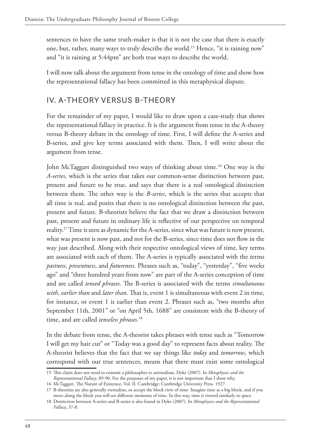sentences to have the same truth-maker is that it is not the case that there is exactly one, but, rather, many ways to truly describe the world.<sup>15</sup> Hence, "it is raining now" and "it is raining at 5:44pm" are both true ways to describe the world.

I will now talk about the argument from tense in the ontology of time and show how the representational fallacy has been committed in this metaphysical dispute.

# IV. A-THEORY VERSUS B-THEORY

For the remainder of my paper, I would like to draw upon a case-study that shows the representational fallacy in practice. It is the argument from tense in the A-theory versus B-theory debate in the ontology of time. First, I will defne the A-series and B-series, and give key terms associated with them. Then, I will write about the argument from tense.

John McTaggart distinguished two ways of thinking about time.<sup>16</sup> One way is the *A-series*, which is the series that takes our common-sense distinction between past, present and future to be true, and says that there is a real ontological distinction between them. The other way is the *B-series*, which is the series that accepts that all time is real, and posits that there is no ontological distinction between the past, present and future. B-theorists believe the fact that we draw a distinction between past, present and future in ordinary life is refective of our perspective on temporal reality.17 Time is seen as dynamic for the A-series, since what was future is now present, what was present is now past, and not for the B-series, since time does not fow in the way just described. Along with their respective ontological views of time, key terms are associated with each of them. The A-series is typically associated with the terms *pastness*, *presentness*, and *futureness*. Phrases such as, "today", "yesterday", "fve weeks ago" and "three hundred years from now" are part of the A-series conception of time and are called *tensed phrases*. The B-series is associated with the terms *simultaneous with, earlier than* and *later than*. That is, event 1 is simultaneous with event 2 in time, for instance, or event 1 is earlier than event 2. Phrases such as, "two months after September 11th, 2001" or "on April 5th, 1688" are consistent with the B-theory of time, and are called *tenseless phrases*. 18

In the debate from tense, the A-theorist takes phrases with tense such as "Tomorrow I will get my hair cut" or "Today was a good day" to represent facts about reality. The A-theorist believes that the fact that we say things like *today* and *tomorrow*, which correspond with our true sentences, means that there must exist some ontological

<sup>15</sup> Tis claim does not need to commit a philosopher to antirealism, Dyke (2007). In *Metaphysics and the Representational Fallacy*, 89-90. For the purposes of my paper, it is not important that I show why.

<sup>16</sup> McTaggart. The Nature of Existence, Vol. II. Cambridge: Cambridge University Press. 1927.

<sup>17</sup> B-theorists are also generally eternalists, or accept the block view of time. Imagine time as a big block, and if you move along the block you will see diferent moments of time. In this way, time is viewed similarly to space.

<sup>18</sup> Distinction between A-series and B-series is also found in Dyke (2007). In *Metaphysics and the Representational Fallacy*, 37-8.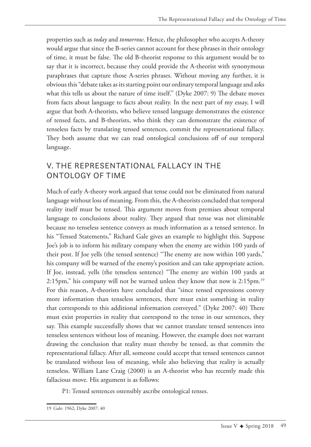properties such as *today* and *tomorrow*. Hence, the philosopher who accepts A-theory would argue that since the B-series cannot account for these phrases in their ontology of time, it must be false. The old B-theorist response to this argument would be to say that it is incorrect, because they could provide the A-theorist with synonymous paraphrases that capture those A-series phrases. Without moving any further, it is obvious this "debate takes as its starting point our ordinary temporal language and asks what this tells us about the nature of time itself." (Dyke 2007: 9) The debate moves from facts about language to facts about reality. In the next part of my essay, I will argue that both A-theorists, who believe tensed language demonstrates the existence of tensed facts, and B-theorists, who think they can demonstrate the existence of tenseless facts by translating tensed sentences, commit the representational fallacy. They both assume that we can read ontological conclusions off of our temporal language.

### V. THE REPRESENTATIONAL FALLACY IN THE ONTOLOGY OF TIME

Much of early A-theory work argued that tense could not be eliminated from natural language without loss of meaning. From this, the A-theorists concluded that temporal reality itself must be tensed. This argument moves from premises about temporal language to conclusions about reality. They argued that tense was not eliminable because no tenseless sentence conveys as much information as a tensed sentence. In his "Tensed Statements," Richard Gale gives an example to highlight this. Suppose Joe's job is to inform his military company when the enemy are within 100 yards of their post. If Joe yells (the tensed sentence) "The enemy are now within 100 yards," his company will be warned of the enemy's position and can take appropriate action. If Joe, instead, yells (the tenseless sentence) "The enemy are within 100 yards at 2:15pm," his company will not be warned unless they know that now is 2:15pm.<sup>19</sup> For this reason, A-theorists have concluded that "since tensed expressions convey more information than tenseless sentences, there must exist something in reality that corresponds to this additional information conveyed." (Dyke 2007: 40) There must exist properties in reality that correspond to the tense in our sentences, they say. This example successfully shows that we cannot translate tensed sentences into tenseless sentences without loss of meaning. However, the example does not warrant drawing the conclusion that reality must thereby be tensed, as that commits the representational fallacy. After all, someone could accept that tensed sentences cannot be translated without loss of meaning, while also believing that reality is actually tenseless. William Lane Craig (2000) is an A-theorist who has recently made this fallacious move. His argument is as follows:

P1: Tensed sentences ostensibly ascribe ontological tenses.

<sup>19</sup> Gale: 1962; Dyke 2007: 40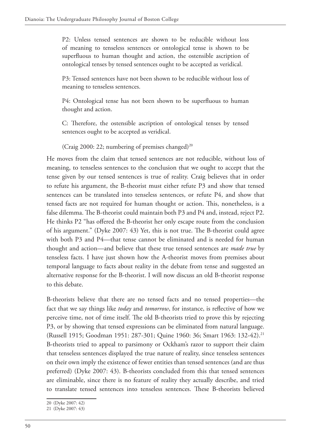P2: Unless tensed sentences are shown to be reducible without loss of meaning to tenseless sentences or ontological tense is shown to be superfuous to human thought and action, the ostensible ascription of ontological tenses by tensed sentences ought to be accepted as veridical.

P3: Tensed sentences have not been shown to be reducible without loss of meaning to tenseless sentences.

P4: Ontological tense has not been shown to be superfuous to human thought and action.

C: Therefore, the ostensible ascription of ontological tenses by tensed sentences ought to be accepted as veridical.

(Craig 2000: 22; numbering of premises changed)<sup>20</sup>

He moves from the claim that tensed sentences are not reducible, without loss of meaning, to tenseless sentences to the conclusion that we ought to accept that the tense given by our tensed sentences is true of reality. Craig believes that in order to refute his argument, the B-theorist must either refute P3 and show that tensed sentences can be translated into tenseless sentences, or refute P4, and show that tensed facts are not required for human thought or action. This, nonetheless, is a false dilemma. The B-theorist could maintain both P3 and P4 and, instead, reject P2. He thinks P2 "has offered the B-theorist her only escape route from the conclusion of his argument." (Dyke 2007: 43) Yet, this is not true. The B-theorist could agree with both P3 and P4—that tense cannot be eliminated and is needed for human thought and action—and believe that these true tensed sentences are *made true* by tenseless facts. I have just shown how the A-theorist moves from premises about temporal language to facts about reality in the debate from tense and suggested an alternative response for the B-theorist. I will now discuss an old B-theorist response to this debate.

B-theorists believe that there are no tensed facts and no tensed properties—the fact that we say things like *today* and *tomorrow*, for instance, is refective of how we perceive time, not of time itself. The old B-theorists tried to prove this by rejecting P3, or by showing that tensed expressions can be eliminated from natural language. (Russell 1915; Goodman 1951: 287-301; Quine 1960: 36; Smart 1963: 132-42).21 B-theorists tried to appeal to parsimony or Ockham's razor to support their claim that tenseless sentences displayed the true nature of reality, since tenseless sentences on their own imply the existence of fewer entities than tensed sentences (and are thus preferred) (Dyke 2007: 43). B-theorists concluded from this that tensed sentences are eliminable, since there is no feature of reality they actually describe, and tried to translate tensed sentences into tenseless sentences. These B-theorists believed

<sup>20</sup> (Dyke 2007: 42)

<sup>21</sup> (Dyke 2007: 43)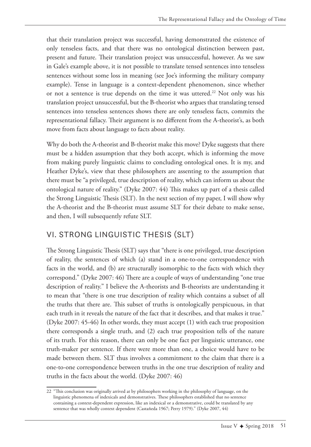that their translation project was successful, having demonstrated the existence of only tenseless facts, and that there was no ontological distinction between past, present and future. Their translation project was unsuccessful, however. As we saw in Gale's example above, it is not possible to translate tensed sentences into tenseless sentences without some loss in meaning (see Joe's informing the military company example). Tense in language is a context-dependent phenomenon, since whether or not a sentence is true depends on the time it was uttered.<sup>22</sup> Not only was his translation project unsuccessful, but the B-theorist who argues that translating tensed sentences into tenseless sentences shows there are only tenseless facts, commits the representational fallacy. Their argument is no different from the A-theorist's, as both move from facts about language to facts about reality.

Why do both the A-theorist and B-theorist make this move? Dyke suggests that there must be a hidden assumption that they both accept, which is informing the move from making purely linguistic claims to concluding ontological ones. It is my, and Heather Dyke's, view that these philosophers are assenting to the assumption that there must be "a privileged, true description of reality, which can inform us about the ontological nature of reality." (Dyke 2007: 44) This makes up part of a thesis called the Strong Linguistic Thesis (SLT). In the next section of my paper, I will show why the A-theorist and the B-theorist must assume SLT for their debate to make sense, and then, I will subsequently refute SLT.

### VI. STRONG LINGUISTIC THESIS (SLT)

The Strong Linguistic Thesis (SLT) says that "there is one privileged, true description of reality, the sentences of which (a) stand in a one-to-one correspondence with facts in the world, and (b) are structurally isomorphic to the facts with which they correspond." (Dyke 2007: 46) There are a couple of ways of understanding "one true description of reality." I believe the A-theorists and B-theorists are understanding it to mean that "there is one true description of reality which contains a subset of all the truths that there are. This subset of truths is ontologically perspicuous, in that each truth in it reveals the nature of the fact that it describes, and that makes it true." (Dyke 2007: 45-46) In other words, they must accept (1) with each true proposition there corresponds a single truth, and (2) each true proposition tells of the nature of its truth. For this reason, there can only be one fact per linguistic utterance, one truth-maker per sentence. If there were more than one, a choice would have to be made between them. SLT thus involves a commitment to the claim that there is a one-to-one correspondence between truths in the one true description of reality and truths in the facts about the world. (Dyke 2007: 46)

<sup>22 &</sup>quot;This conclusion was originally arrived at by philosophers working in the philosophy of language, on the linguistic phenomena of indexicals and demonstratives. These philosophers established that no sentence containing a context-dependent expression, like an indexical or a demonstrative, could be translated by any sentence that was wholly context dependent (Castañeda 1967; Perry 1979)." (Dyke 2007, 44)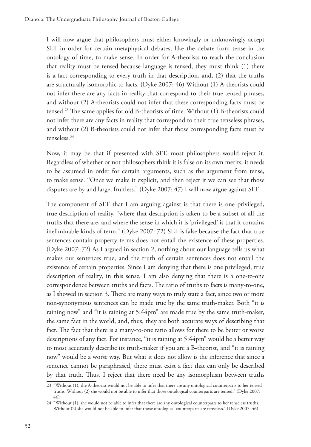I will now argue that philosophers must either knowingly or unknowingly accept SLT in order for certain metaphysical debates, like the debate from tense in the ontology of time, to make sense. In order for A-theorists to reach the conclusion that reality must be tensed because language is tensed, they must think (1) there is a fact corresponding to every truth in that description, and, (2) that the truths are structurally isomorphic to facts. (Dyke 2007: 46) Without (1) A-theorists could not infer there are any facts in reality that correspond to their true tensed phrases, and without (2) A-theorists could not infer that these corresponding facts must be tensed.<sup>23</sup> The same applies for old B-theorists of time. Without (1) B-theorists could not infer there are any facts in reality that correspond to their true tenseless phrases, and without (2) B-theorists could not infer that those corresponding facts must be tenseless.24

Now, it may be that if presented with SLT, most philosophers would reject it. Regardless of whether or not philosophers think it is false on its own merits, it needs to be assumed in order for certain arguments, such as the argument from tense, to make sense. "Once we make it explicit, and then reject it we can see that those disputes are by and large, fruitless." (Dyke 2007: 47) I will now argue against SLT.

The component of SLT that I am arguing against is that there is one privileged, true description of reality, "where that description is taken to be a subset of all the truths that there are, and where the sense in which it is 'privileged' is that it contains ineliminable kinds of term." (Dyke 2007: 72) SLT is false because the fact that true sentences contain property terms does not entail the existence of these properties. (Dyke 2007: 72) As I argued in section 2, nothing about our language tells us what makes our sentences true, and the truth of certain sentences does not entail the existence of certain properties. Since I am denying that there is one privileged, true description of reality, in this sense, I am also denying that there is a one-to-one correspondence between truths and facts. The ratio of truths to facts is many-to-one, as I showed in section 3. There are many ways to truly state a fact, since two or more non-synonymous sentences can be made true by the same truth-maker. Both "it is raining now" and "it is raining at 5:44pm" are made true by the same truth-maker, the same fact in the world, and, thus, they are both accurate ways of describing that fact. The fact that there is a many-to-one ratio allows for there to be better or worse descriptions of any fact. For instance, "it is raining at 5:44pm" would be a better way to most accurately describe its truth-maker if you are a B-theorist, and "it is raining now" would be a worse way. But what it does not allow is the inference that since a sentence cannot be paraphrased, there must exist a fact that can only be described by that truth. Thus, I reject that there need be any isomorphism between truths

<sup>23</sup> "Without (1), the A-theorist would not be able to infer that there are any ontological counterparts to her tensed truths. Without (2) she would not be able to infer that those ontological counterparts are tensed." (Dyke 2007: 46)

<sup>24</sup> "Without (1), she would not be able to infer that there are any ontological counterparts to her tenseless truths. Without (2) she would not be able to infer that those ontological counterparts are tenseless." (Dyke 2007: 46)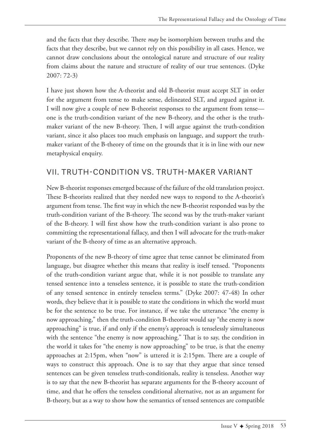and the facts that they describe. There *may* be isomorphism between truths and the facts that they describe, but we cannot rely on this possibility in all cases. Hence, we cannot draw conclusions about the ontological nature and structure of our reality from claims about the nature and structure of reality of our true sentences. (Dyke 2007: 72-3)

I have just shown how the A-theorist and old B-theorist must accept SLT in order for the argument from tense to make sense, delineated SLT, and argued against it. I will now give a couple of new B-theorist responses to the argument from tense one is the truth-condition variant of the new B-theory, and the other is the truthmaker variant of the new B-theory. Then, I will argue against the truth-condition variant, since it also places too much emphasis on language, and support the truthmaker variant of the B-theory of time on the grounds that it is in line with our new metaphysical enquiry.

## VII. TRUTH-CONDITION VS. TRUTH-MAKER VARIANT

New B-theorist responses emerged because of the failure of the old translation project. These B-theorists realized that they needed new ways to respond to the A-theorist's argument from tense. The first way in which the new B-theorist responded was by the truth-condition variant of the B-theory. The second was by the truth-maker variant of the B-theory. I will frst show how the truth-condition variant is also prone to committing the representational fallacy, and then I will advocate for the truth-maker variant of the B-theory of time as an alternative approach.

Proponents of the new B-theory of time agree that tense cannot be eliminated from language, but disagree whether this means that reality is itself tensed. "Proponents of the truth-condition variant argue that, while it is not possible to translate any tensed sentence into a tenseless sentence, it is possible to state the truth-condition of any tensed sentence in entirely tenseless terms." (Dyke 2007: 47-48) In other words, they believe that it is possible to state the conditions in which the world must be for the sentence to be true. For instance, if we take the utterance "the enemy is now approaching," then the truth-condition B-theorist would say "the enemy is now approaching" is true, if and only if the enemy's approach is tenselessly simultaneous with the sentence "the enemy is now approaching." That is to say, the condition in the world it takes for "the enemy is now approaching" to be true, is that the enemy approaches at 2:15pm, when "now" is uttered it is 2:15pm. There are a couple of ways to construct this approach. One is to say that they argue that since tensed sentences can be given tenseless truth-conditionals, reality is tenseless. Another way is to say that the new B-theorist has separate arguments for the B-theory account of time, and that he offers the tenseless conditional alternative, not as an argument for B-theory, but as a way to show how the semantics of tensed sentences are compatible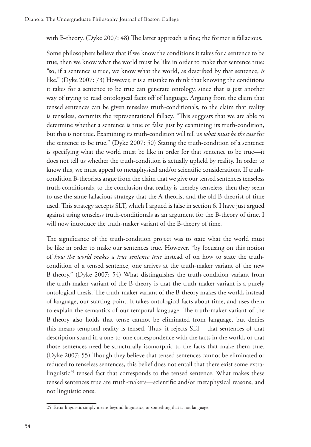with B-theory. (Dyke 2007: 48) The latter approach is fine; the former is fallacious.

Some philosophers believe that if we know the conditions it takes for a sentence to be true, then we know what the world must be like in order to make that sentence true: "so, if a sentence *is* true, we know what the world, as described by that sentence, *is*  like." (Dyke 2007: 73) However, it is a mistake to think that knowing the conditions it takes for a sentence to be true can generate ontology, since that is just another way of trying to read ontological facts off of language. Arguing from the claim that tensed sentences can be given tenseless truth-conditionals, to the claim that reality is tenseless, commits the representational fallacy. "This suggests that we are able to determine whether a sentence is true or false just by examining its truth-condition, but this is not true. Examining its truth-condition will tell us *what must be the case* for the sentence to be true." (Dyke 2007: 50) Stating the truth-condition of a sentence is specifying what the world must be like in order for that sentence to be true—it does not tell us whether the truth-condition is actually upheld by reality. In order to know this, we must appeal to metaphysical and/or scientifc considerations. If truthcondition B-theorists argue from the claim that we give our tensed sentences tenseless truth-conditionals, to the conclusion that reality is thereby tenseless, then they seem to use the same fallacious strategy that the A-theorist and the old B-theorist of time used. This strategy accepts SLT, which I argued is false in section 6. I have just argued against using tenseless truth-conditionals as an argument for the B-theory of time. I will now introduce the truth-maker variant of the B-theory of time.

The significance of the truth-condition project was to state what the world must be like in order to make our sentences true. However, "by focusing on this notion of *how the world makes a true sentence true* instead of on how to state the truthcondition of a tensed sentence, one arrives at the truth-maker variant of the new B-theory." (Dyke 2007: 54) What distinguishes the truth-condition variant from the truth-maker variant of the B-theory is that the truth-maker variant is a purely ontological thesis. The truth-maker variant of the B-theory makes the world, instead of language, our starting point. It takes ontological facts about time, and uses them to explain the semantics of our temporal language. The truth-maker variant of the B-theory also holds that tense cannot be eliminated from language, but denies this means temporal reality is tensed. Thus, it rejects SLT—that sentences of that description stand in a one-to-one correspondence with the facts in the world, or that those sentences need be structurally isomorphic to the facts that make them true. (Dyke 2007: 55) Though they believe that tensed sentences cannot be eliminated or reduced to tenseless sentences, this belief does not entail that there exist some extralinguistic<sup>25</sup> tensed fact that corresponds to the tensed sentence. What makes these tensed sentences true are truth-makers—scientifc and/or metaphysical reasons, and not linguistic ones.

<sup>25</sup> Extra-linguistic simply means beyond linguistics, or something that is not language.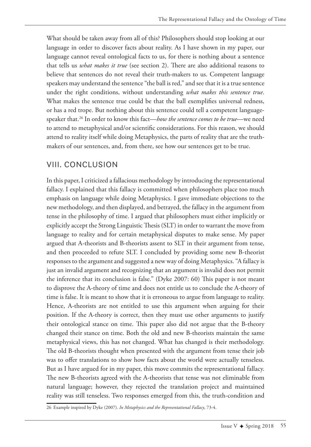What should be taken away from all of this? Philosophers should stop looking at our language in order to discover facts about reality. As I have shown in my paper, our language cannot reveal ontological facts to us, for there is nothing about a sentence that tells us *what makes it true* (see section 2). There are also additional reasons to believe that sentences do not reveal their truth-makers to us. Competent language speakers may understand the sentence "the ball is red," and see that it is a true sentence under the right conditions, without understanding *what makes this sentence true*. What makes the sentence true could be that the ball exemplifes universal redness, or has a red trope. But nothing about this sentence could tell a competent languagespeaker that.26 In order to know this fact—*how the sentence comes to be true*—we need to attend to metaphysical and/or scientifc considerations. For this reason, we should attend to reality itself while doing Metaphysics, the parts of reality that are the truthmakers of our sentences, and, from there, see how our sentences get to be true.

### VIII. CONCLUSION

In this paper, I criticized a fallacious methodology by introducing the representational fallacy. I explained that this fallacy is committed when philosophers place too much emphasis on language while doing Metaphysics. I gave immediate objections to the new methodology, and then displayed, and betrayed, the fallacy in the argument from tense in the philosophy of time. I argued that philosophers must either implicitly or explicitly accept the Strong Linguistic Thesis (SLT) in order to warrant the move from language to reality and for certain metaphysical disputes to make sense. My paper argued that A-theorists and B-theorists assent to SLT in their argument from tense, and then proceeded to refute SLT. I concluded by providing some new B-theorist responses to the argument and suggested a new way of doing Metaphysics. "A fallacy is just an invalid argument and recognizing that an argument is invalid does not permit the inference that its conclusion is false." (Dyke 2007: 60) This paper is not meant to disprove the A-theory of time and does not entitle us to conclude the A-theory of time is false. It is meant to show that it is erroneous to argue from language to reality. Hence, A-theorists are not entitled to use this argument when arguing for their position. If the A-theory is correct, then they must use other arguments to justify their ontological stance on time. This paper also did not argue that the B-theory changed their stance on time. Both the old and new B-theorists maintain the same metaphysical views, this has not changed. What has changed is their methodology. The old B-theorists thought when presented with the argument from tense their job was to offer translations to show how facts about the world were actually tenseless. But as I have argued for in my paper, this move commits the representational fallacy. The new B-theorists agreed with the A-theorists that tense was not eliminable from natural language; however, they rejected the translation project and maintained reality was still tenseless. Two responses emerged from this, the truth-condition and

<sup>26</sup> Example inspired by Dyke (2007). *In Metaphysics and the Representational Fallacy*, 73-4.